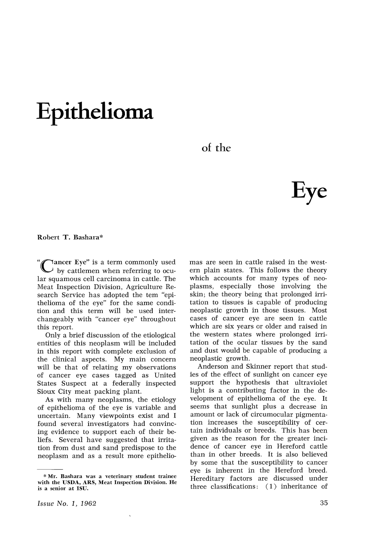## Epithelioma

of the



Robert T. Bashara\*

"Tancer Eye" is a term commonly used by cattlemen when referring to ocular squamous cell carcinoma in cattle. The Meat Inspection Division, Agrieulture Research Service has adopted the tem "epithelioma of the eye" for the same condition and this term will be used interchangeably with "cancer eye" throughout this report.

Only a brief discussion of the etiological entities of this neoplasm will be included in this report with complete exclusion of the clinical aspects. My main concern will be that of relating my observations of cancer eye cases tagged as United States Suspect at a federally inspected Sioux City meat packing plant.

As with many neoplasms, the etiology of epithelioma of the eye is variable and uncertain. Many viewpoints exist and I found several investigators had convincing evidence to support each of their beliefs. Several have suggested that irritation from dust and sand predispose to the neoplasm and as a result more epithelio-

 $\boldsymbol{\mathcal{N}}$ 

mas are seen in cattle raised in the western plain states. This follows the theory which accounts for many types of neoplasms, especially those involving the skin; the theory being that prolonged irritation to tissues is capable of producing neoplastic growth in those tissues. Most cases of cancer eye are seen in cattle which are six years or older and raised in the western states where prolonged irritation of the ocular tissues by the sand and dust would be capable of producing a neoplastic growth.

Anderson and Skinner report that studies of the effect of sunlight on cancer eye support the hypothesis that ultraviolet light is a contributing factor in the development of epithelioma of the eye. It seems that sunlight plus a decrease in amount or lack of circumocular pigmentation increases the susceptibility of certain individuals or breeds. This has been given as the reason for the greater incidence of cancer eye in Hereford cattle than in other breeds. It is also believed by some that the susceptibility to cancer eye is inherent in the Hereford breed. Hereditary factors are discussed under three classifications: ( 1) inheritance of

<sup>\*</sup> Mr. Bashara was <sup>a</sup> veterinary student trainee with the USDA, ARS, Meat Inspection Division. He is a senior at ISD.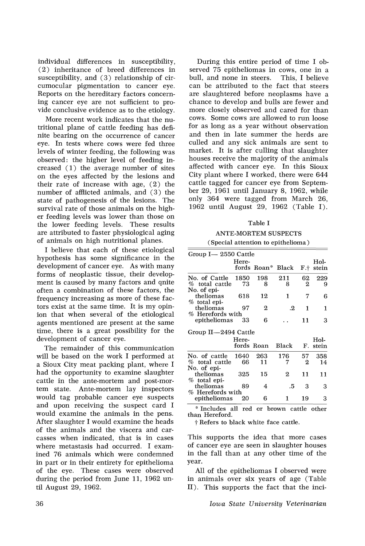individual differences in susceptibility, (2) inheritance of breed differences in susceptibility, and (3) relationship of circumocular pigmentation to cancer eye. Reports on the hereditary factors concerning cancer eye are not sufficient to provide conclusive evidence as to the etiology.

More recent work indicates that the nutritional plane of cattle feeding has definite bearing on the occurrence of cancer eye. In tests where cows were fed three levels of winter feeding, the following was observed: the higher level of feeding increased (1) the average number of sites on the eyes affected by the lesions and their rate of increase with age, (2) the number of afflicted animals, and (3) the state of pathogenesis of the lesions. The survival rate of those animals on the higher feeding levels was lower than those on the lower feeding levels. These results are attributed to faster physiological aging of animals on high nutritional planes.

I believe that each of these etiological hypothesis has some significance in the development of cancer eye. As with many forms of neoplastic tissue, their development is caused by many factors and qnite often a combination of these factors, the frequency increasing as more of these factors exist at the same time. It is my opinion that when several of the etiological agents mentioned are present at the same time, there is a great possibility for the development of cancer eye.

The remainder of this communication will be based on the work I performed at a Sioux City meat packing plant, where I had the opportunity to examine slaughter cattle in the ante-mortem and post-mortem state. Ante-mortem lay inspectors would tag probable cancer eye suspects and upon receiving the suspect card I would examine the animals in the pens. After slaughter I would examine the heads of the animals and the viscera and carcasses when indicated, that is in cases where metastasis had occurred. I examined 76 animals which were condemned in part or in their entirety for epithelioma of the eye. These cases were observed during the period from June 11, 1962 until August 29, 1962.

During this entire period of time I observed 75 epitheliomas in cows, one in a bull, and none in steers. This, I believe can be attributed to the fact that steers are slaughtered before neoplasms have a chance to develop and bulls are fewer and more closely observed and cared for than cows. Some cows are allowed to run loose for as long as a year without observation and then in late summer the herds are culled and any sick animals are sent to market. It is after culling that slaughter houses receive the majority of the animals affected with cancer eye. In this Sioux City plant where I worked, there were 644 cattle tagged for cancer eye from September 29, 1961 until January 8, 1962, while only 364 were tagged from March 26, 1962 until August 29, 1962 (Table I).

## Table I

ANTE-MORTEM SUSPECTS

|  |  |  | (Special attention to epithelioma) |  |
|--|--|--|------------------------------------|--|
|--|--|--|------------------------------------|--|

| Group I— 2550 Cattle                           |            |             |          |         |               |
|------------------------------------------------|------------|-------------|----------|---------|---------------|
|                                                | Here-      | fords Roan* | Black    | F.t     | Hol-<br>stein |
| No. of Cattle<br>% total cattle<br>No. of epi- | 1850<br>73 | 198<br>8    | 211<br>8 | 62<br>2 | 229<br>9      |
| theliomas<br>$%$ total epi-                    | 618        | 12          | 1        | 7       | 6             |
| theliomas<br>% Herefords with                  | 97         | 2           | .2       | 1       | 1             |
| epitheliomas                                   | - 33       | 6           |          | 11      | 3             |
| Group II—2494 Cattle                           |            |             |          |         |               |
|                                                | Here-      |             |          |         | Hol-          |
|                                                |            | fords Roan  | Black    | F.      | stein         |
| No. of cattle 1640                             |            | 263         | 176      | 57      | 358           |
| % total cattle<br>No. of epi-                  | 66         | 11          | 7        | 2       | 14            |
| theliomas<br>$%$ total epi-                    | 325        | 15          | 2        | 11      | 11            |
| theliomas<br>% Herefords with                  | 89         | 4           | .5       | 3       | 3             |
| epitheliomas                                   | 20         | 6           | 1        | 19      | 3             |

Includes all red or brown cattle other than Hereford.

t Refers to black white face cattle.

This supports the idea that more cases of cancer eye are seen in slaughter houses in the fall than at any other time of the year.

All of the epitheliomas I observed were in animals over six years of age (Table II). This supports the fact that the inci-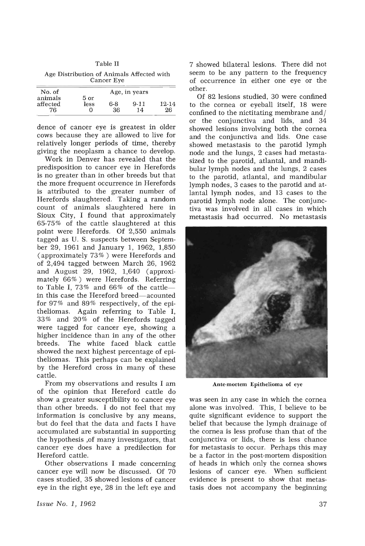| . .<br>×<br>۰.<br>×<br>٠<br>× |
|-------------------------------|
|-------------------------------|

Age Distribution of Animals Affected with Cancer Eye

| No. of                    |              |           | Age, in years  |             |
|---------------------------|--------------|-----------|----------------|-------------|
| animals<br>affected<br>76 | 5 or<br>less | 6-8<br>36 | $9 - 11$<br>14 | 12-14<br>26 |

dence of cancer eye is greatest in older cows because they are allowed to live for relatively longer periods of time, thereby giving the neoplasm a chance to develop.

Work in Denver has revealed that the predisposition to cancer eye in Herefords is no greater than in other breeds but that the more frequent occurrence in Herefords is attributed to the greater number of Herefords slaughtered. Taking a random count of animals slaughtered here in Sioux City, I found that approximately 65-75% of the cattle slaughtered at this point were Herefords. Of 2,550 animals tagged as U. S. suspects between September 29, 1961 and January 1, 1962, 1,850 (approximately 73% ) were Herefords and of 2,494 tagged between March 26, 1962 and August 29, 1962, 1.,640 (approximately 66%) were Herefords. Referring to Table I, 73% and 66% of the cattlein this case the Hereford breed-acounted for 97% and 89% respectively, of the epitheliomas. Again referring to Table I, 33% and 20% of the Herefords tagged were tagged for cancer eye, showing a higher incidence than in any of the other breeds. The white faced black cattle showed the next highest percentage of epitheliomas. This perhaps can be explained by the Hereford cross in many of these cattle.

From my observations and results I am of the opinion that Hereford cattle do show a greater susceptibility to cancer eye than other breeds. I do not feel that my information is conclusive by any means, but do feel that the data and facts I have accumulated are substantial in supporting the hypothesis ,of many investigators, that cancer eye does have a predilection for Hereford cattle.

Other observations I made concerning cancer eye will now be discussed. Of 70 cases studied, 35 showed lesions of cancer eye in the right eye, 28 in the left eye and

*Issue No.1, 1962* 37

7 showed bilateral lesions. There did not seem to be any pattern to the frequency of occurrence in either one eye or the other.

Of 82 lesions studied, 30 were confined to the cornea or eyeball itself, 18 were confined to the nictitating membrane and/ or the conjunctiva and lids, and 34 showed lesions involving both the cornea and the conjunctiva and lids. One case showed metastasis to the parotid lymph node and the lungs, 2 cases had metastasized to the parotid, atlantal, and mandibular lymph nodes and the lungs, 2 cases to the parotid, atlantal, and mandibular lymph nodes, 3 cases to the parotid and atlantal lymph nodes, and 13 cases to the parotid lymph node alone. The conjunctiva was involved in all cases in which metastasis had occurred. No metastasis



Ante-mortem Epithelioma of eye

was seen in any case in which the cornea alone was involved. This, I believe to be quite significant evidence to support the belief that because the lymph drainage of the cornea is less profuse than that of the conjunctiva or lids, there is less chance for metastasis to occur. Perhaps this may be a factor in the post-mortem disposition of heads in which only the cornea shows lesions of cancer eye. When sufficient evidence is present to show that metastasis does not accompany the beginning